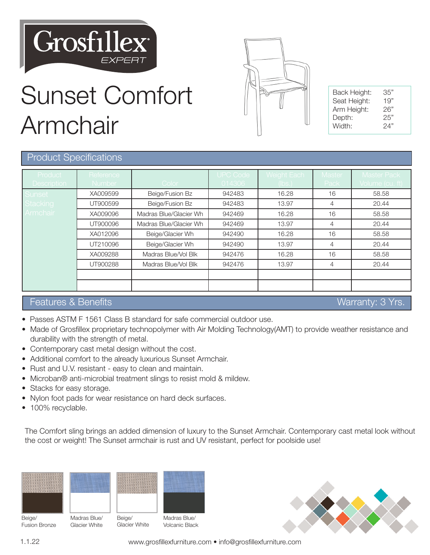

Sunset Comfort

| Back Height: | 35" |
|--------------|-----|
| Seat Height: | 19" |
| Arm Height:  | 26" |
| Depth:       | 25" |
| Width:       | 24" |
|              |     |

## Product Specifications

Armchair

| Product<br><b>Description</b> | Reference<br>Number | Color                  | <b>UPC Code</b><br>014306 | Weight Each<br>(lbs.) | <b>Master</b><br>Pack | <b>Master Pack</b><br>Volume (cu. ft) |
|-------------------------------|---------------------|------------------------|---------------------------|-----------------------|-----------------------|---------------------------------------|
| Sunset                        | XA009599            | Beige/Fusion Bz        | 942483                    | 16.28                 | 16                    | 58.58                                 |
| Stacking                      | UT900599            | Beige/Fusion Bz        | 942483                    | 13.97                 | 4                     | 20.44                                 |
| Armchair                      | XA009096            | Madras Blue/Glacier Wh | 942469                    | 16.28                 | 16                    | 58.58                                 |
|                               | UT900096            | Madras Blue/Glacier Wh | 942469                    | 13.97                 | 4                     | 20.44                                 |
|                               | XA012096            | Beige/Glacier Wh       | 942490                    | 16.28                 | 16                    | 58.58                                 |
|                               | UT210096            | Beige/Glacier Wh       | 942490                    | 13.97                 | $\overline{4}$        | 20.44                                 |
|                               | XA009288            | Madras Blue/Vol Blk    | 942476                    | 16.28                 | 16                    | 58.58                                 |
|                               | UT900288            | Madras Blue/Vol Blk    | 942476                    | 13.97                 | $\overline{4}$        | 20.44                                 |
|                               |                     |                        |                           |                       |                       |                                       |
|                               |                     |                        |                           |                       |                       |                                       |

## Features & Benefits Warranty: 3 Yrs.

- Passes ASTM F 1561 Class B standard for safe commercial outdoor use.
- Made of Grosfillex proprietary technopolymer with Air Molding Technology(AMT) to provide weather resistance and durability with the strength of metal.
- Contemporary cast metal design without the cost.
- Additional comfort to the already luxurious Sunset Armchair.
- Rust and U.V. resistant easy to clean and maintain.
- Microban® anti-microbial treatment slings to resist mold & mildew.
- Stacks for easy storage.
- Nylon foot pads for wear resistance on hard deck surfaces.
- 100% recyclable.

The Comfort sling brings an added dimension of luxury to the Sunset Armchair. Contemporary cast metal look without the cost or weight! The Sunset armchair is rust and UV resistant, perfect for poolside use!





Glacier White



Volcanic Black